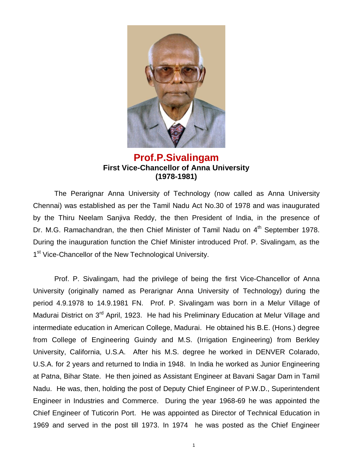

## **Prof.P.Sivalingam First Vice-Chancellor of Anna University (1978-1981)**

The Perarignar Anna University of Technology (now called as Anna University Chennai) was established as per the Tamil Nadu Act No.30 of 1978 and was inaugurated by the Thiru Neelam Sanjiva Reddy, the then President of India, in the presence of Dr. M.G. Ramachandran, the then Chief Minister of Tamil Nadu on 4<sup>th</sup> September 1978. During the inauguration function the Chief Minister introduced Prof. P. Sivalingam, as the 1<sup>st</sup> Vice-Chancellor of the New Technological University.

Prof. P. Sivalingam, had the privilege of being the first Vice-Chancellor of Anna University (originally named as Perarignar Anna University of Technology) during the period 4.9.1978 to 14.9.1981 FN. Prof. P. Sivalingam was born in a Melur Village of Madurai District on 3<sup>rd</sup> April, 1923. He had his Preliminary Education at Melur Village and intermediate education in American College, Madurai. He obtained his B.E. (Hons.) degree from College of Engineering Guindy and M.S. (Irrigation Engineering) from Berkley University, California, U.S.A. After his M.S. degree he worked in DENVER Colarado, U.S.A. for 2 years and returned to India in 1948. In India he worked as Junior Engineering at Patna, Bihar State. He then joined as Assistant Engineer at Bavani Sagar Dam in Tamil Nadu. He was, then, holding the post of Deputy Chief Engineer of P.W.D., Superintendent Engineer in Industries and Commerce. During the year 1968-69 he was appointed the Chief Engineer of Tuticorin Port. He was appointed as Director of Technical Education in 1969 and served in the post till 1973. In 1974 he was posted as the Chief Engineer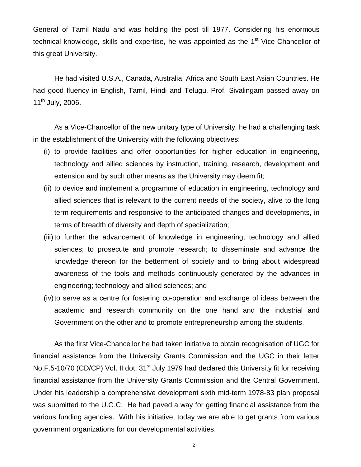General of Tamil Nadu and was holding the post till 1977. Considering his enormous technical knowledge, skills and expertise, he was appointed as the 1<sup>st</sup> Vice-Chancellor of this great University.

He had visited U.S.A., Canada, Australia, Africa and South East Asian Countries. He had good fluency in English, Tamil, Hindi and Telugu. Prof. Sivalingam passed away on  $11^{th}$  July, 2006.

As a Vice-Chancellor of the new unitary type of University, he had a challenging task in the establishment of the University with the following objectives:

- (i) to provide facilities and offer opportunities for higher education in engineering, technology and allied sciences by instruction, training, research, development and extension and by such other means as the University may deem fit;
- (ii) to device and implement a programme of education in engineering, technology and allied sciences that is relevant to the current needs of the society, alive to the long term requirements and responsive to the anticipated changes and developments, in terms of breadth of diversity and depth of specialization;
- (iii) to further the advancement of knowledge in engineering, technology and allied sciences; to prosecute and promote research; to disseminate and advance the knowledge thereon for the betterment of society and to bring about widespread awareness of the tools and methods continuously generated by the advances in engineering; technology and allied sciences; and
- (iv)to serve as a centre for fostering co-operation and exchange of ideas between the academic and research community on the one hand and the industrial and Government on the other and to promote entrepreneurship among the students.

As the first Vice-Chancellor he had taken initiative to obtain recognisation of UGC for financial assistance from the University Grants Commission and the UGC in their letter No.F.5-10/70 (CD/CP) Vol. II dot. 31<sup>st</sup> July 1979 had declared this University fit for receiving financial assistance from the University Grants Commission and the Central Government. Under his leadership a comprehensive development sixth mid-term 1978-83 plan proposal was submitted to the U.G.C. He had paved a way for getting financial assistance from the various funding agencies. With his initiative, today we are able to get grants from various government organizations for our developmental activities.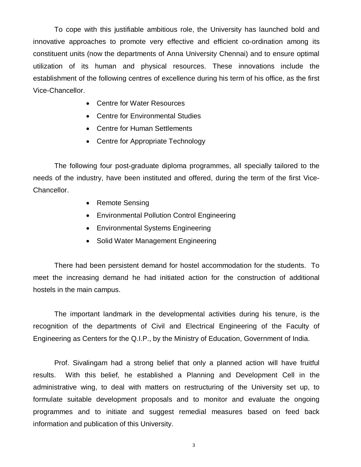To cope with this justifiable ambitious role, the University has launched bold and innovative approaches to promote very effective and efficient co-ordination among its constituent units (now the departments of Anna University Chennai) and to ensure optimal utilization of its human and physical resources. These innovations include the establishment of the following centres of excellence during his term of his office, as the first Vice-Chancellor.

- Centre for Water Resources
- Centre for Environmental Studies
- Centre for Human Settlements
- Centre for Appropriate Technology

The following four post-graduate diploma programmes, all specially tailored to the needs of the industry, have been instituted and offered, during the term of the first Vice-Chancellor.

- Remote Sensing
- Environmental Pollution Control Engineering
- Environmental Systems Engineering
- Solid Water Management Engineering

There had been persistent demand for hostel accommodation for the students. To meet the increasing demand he had initiated action for the construction of additional hostels in the main campus.

The important landmark in the developmental activities during his tenure, is the recognition of the departments of Civil and Electrical Engineering of the Faculty of Engineering as Centers for the Q.I.P., by the Ministry of Education, Government of India.

Prof. Sivalingam had a strong belief that only a planned action will have fruitful results. With this belief, he established a Planning and Development Cell in the administrative wing, to deal with matters on restructuring of the University set up, to formulate suitable development proposals and to monitor and evaluate the ongoing programmes and to initiate and suggest remedial measures based on feed back information and publication of this University.